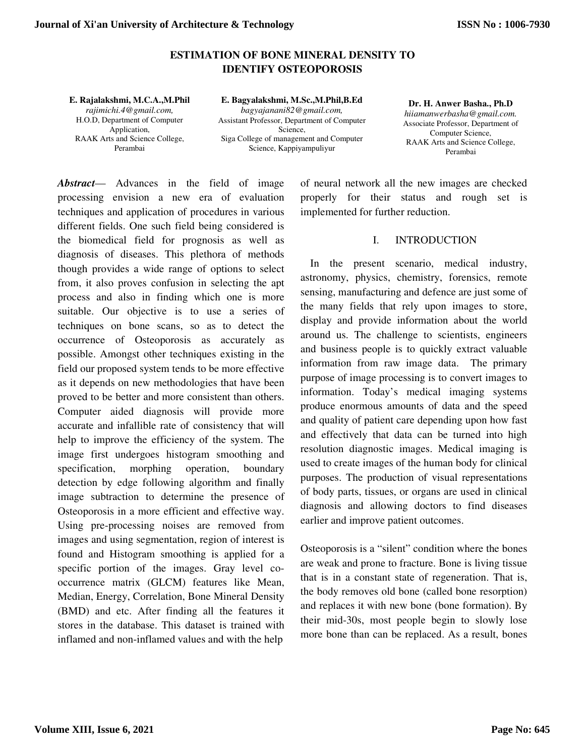## **ESTIMATION OF BONE MINERAL DENSITY TO IDENTIFY OSTEOPOROSIS**

**E. Rajalakshmi, M.C.A.,M.Phil**  *rajimichi.4@gmail.com,*  H.O.D, Department of Computer Application, RAAK Arts and Science College, Perambai

**E. Bagyalakshmi, M.Sc.,M.Phil,B.Ed**  *bagyajanani82@gmail.com,*  Assistant Professor, Department of Computer Science, Siga College of management and Computer Science, Kappiyampuliyur

**Dr. H. Anwer Basha., Ph.D**  *hiiamanwerbasha@gmail.com.*  Associate Professor, Department of Computer Science, RAAK Arts and Science College, Perambai

*Abstract*— Advances in the field of image processing envision a new era of evaluation techniques and application of procedures in various different fields. One such field being considered is the biomedical field for prognosis as well as diagnosis of diseases. This plethora of methods though provides a wide range of options to select from, it also proves confusion in selecting the apt process and also in finding which one is more suitable. Our objective is to use a series of techniques on bone scans, so as to detect the occurrence of Osteoporosis as accurately as possible. Amongst other techniques existing in the field our proposed system tends to be more effective as it depends on new methodologies that have been proved to be better and more consistent than others. Computer aided diagnosis will provide more accurate and infallible rate of consistency that will help to improve the efficiency of the system. The image first undergoes histogram smoothing and specification, morphing operation, boundary detection by edge following algorithm and finally image subtraction to determine the presence of Osteoporosis in a more efficient and effective way. Using pre-processing noises are removed from images and using segmentation, region of interest is found and Histogram smoothing is applied for a specific portion of the images. Gray level cooccurrence matrix (GLCM) features like Mean, Median, Energy, Correlation, Bone Mineral Density (BMD) and etc. After finding all the features it stores in the database. This dataset is trained with inflamed and non-inflamed values and with the help

of neural network all the new images are checked properly for their status and rough set is implemented for further reduction.

#### I. INTRODUCTION

In the present scenario, medical industry, astronomy, physics, chemistry, forensics, remote sensing, manufacturing and defence are just some of the many fields that rely upon images to store, display and provide information about the world around us. The challenge to scientists, engineers and business people is to quickly extract valuable information from raw image data. The primary purpose of image processing is to convert images to information. Today's medical imaging systems produce enormous amounts of data and the speed and quality of patient care depending upon how fast and effectively that data can be turned into high resolution diagnostic images. Medical imaging is used to create images of the human body for clinical purposes. The production of visual representations of body parts, tissues, or organs are used in clinical diagnosis and allowing doctors to find diseases earlier and improve patient outcomes.

Osteoporosis is a "silent" condition where the bones are weak and prone to fracture. Bone is living tissue that is in a constant state of regeneration. That is, the body removes old bone (called bone resorption) and replaces it with new bone (bone formation). By their mid-30s, most people begin to slowly lose more bone than can be replaced. As a result, bones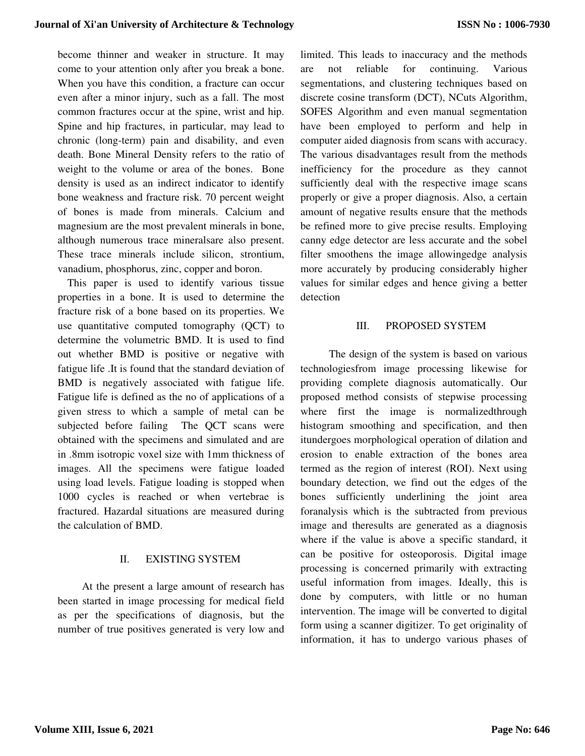become thinner and weaker in structure. It may come to your attention only after you break a bone. When you have this condition, a fracture can occur even after a minor injury, such as a fall. The most common fractures occur at the spine, wrist and hip. Spine and hip fractures, in particular, may lead to chronic (long-term) pain and disability, and even death. Bone Mineral Density refers to the ratio of weight to the volume or area of the bones. Bone density is used as an indirect indicator to identify bone weakness and fracture risk. 70 percent weight of bones is made from minerals. Calcium and magnesium are the most prevalent minerals in bone, although numerous trace mineralsare also present. These trace minerals include silicon, strontium, vanadium, phosphorus, zinc, copper and boron.

This paper is used to identify various tissue properties in a bone. It is used to determine the fracture risk of a bone based on its properties. We use quantitative computed tomography (QCT) to determine the volumetric BMD. It is used to find out whether BMD is positive or negative with fatigue life .It is found that the standard deviation of BMD is negatively associated with fatigue life. Fatigue life is defined as the no of applications of a given stress to which a sample of metal can be subjected before failing The QCT scans were obtained with the specimens and simulated and are in .8mm isotropic voxel size with 1mm thickness of images. All the specimens were fatigue loaded using load levels. Fatigue loading is stopped when 1000 cycles is reached or when vertebrae is fractured. Hazardal situations are measured during the calculation of BMD.

#### II. EXISTING SYSTEM

 At the present a large amount of research has been started in image processing for medical field as per the specifications of diagnosis, but the number of true positives generated is very low and limited. This leads to inaccuracy and the methods are not reliable for continuing. Various segmentations, and clustering techniques based on discrete cosine transform (DCT), NCuts Algorithm, SOFES Algorithm and even manual segmentation have been employed to perform and help in computer aided diagnosis from scans with accuracy. The various disadvantages result from the methods inefficiency for the procedure as they cannot sufficiently deal with the respective image scans properly or give a proper diagnosis. Also, a certain amount of negative results ensure that the methods be refined more to give precise results. Employing canny edge detector are less accurate and the sobel filter smoothens the image allowingedge analysis more accurately by producing considerably higher values for similar edges and hence giving a better detection

#### III. PROPOSED SYSTEM

The design of the system is based on various technologiesfrom image processing likewise for providing complete diagnosis automatically. Our proposed method consists of stepwise processing where first the image is normalized through histogram smoothing and specification, and then itundergoes morphological operation of dilation and erosion to enable extraction of the bones area termed as the region of interest (ROI). Next using boundary detection, we find out the edges of the bones sufficiently underlining the joint area foranalysis which is the subtracted from previous image and theresults are generated as a diagnosis where if the value is above a specific standard, it can be positive for osteoporosis. Digital image processing is concerned primarily with extracting useful information from images. Ideally, this is done by computers, with little or no human intervention. The image will be converted to digital form using a scanner digitizer. To get originality of information, it has to undergo various phases of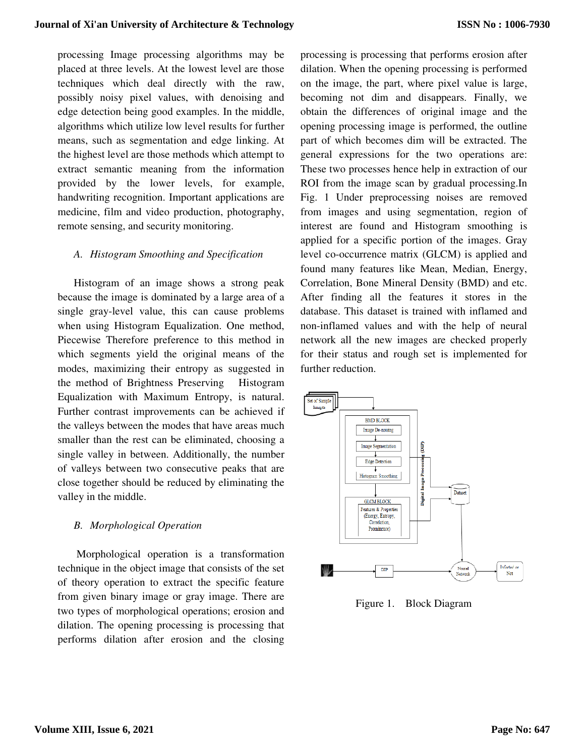processing Image processing algorithms may be placed at three levels. At the lowest level are those techniques which deal directly with the raw, possibly noisy pixel values, with denoising and edge detection being good examples. In the middle, algorithms which utilize low level results for further means, such as segmentation and edge linking. At the highest level are those methods which attempt to extract semantic meaning from the information provided by the lower levels, for example, handwriting recognition. Important applications are medicine, film and video production, photography, remote sensing, and security monitoring.

#### *A. Histogram Smoothing and Specification*

Histogram of an image shows a strong peak because the image is dominated by a large area of a single gray-level value, this can cause problems when using Histogram Equalization. One method, Piecewise Therefore preference to this method in which segments yield the original means of the modes, maximizing their entropy as suggested in the method of Brightness Preserving Histogram Equalization with Maximum Entropy, is natural. Further contrast improvements can be achieved if the valleys between the modes that have areas much smaller than the rest can be eliminated, choosing a single valley in between. Additionally, the number of valleys between two consecutive peaks that are close together should be reduced by eliminating the valley in the middle.

#### *B. Morphological Operation*

 Morphological operation is a transformation technique in the object image that consists of the set of theory operation to extract the specific feature from given binary image or gray image. There are two types of morphological operations; erosion and dilation. The opening processing is processing that performs dilation after erosion and the closing

processing is processing that performs erosion after dilation. When the opening processing is performed on the image, the part, where pixel value is large, becoming not dim and disappears. Finally, we obtain the differences of original image and the opening processing image is performed, the outline part of which becomes dim will be extracted. The general expressions for the two operations are: These two processes hence help in extraction of our ROI from the image scan by gradual processing.In Fig. 1 Under preprocessing noises are removed from images and using segmentation, region of interest are found and Histogram smoothing is applied for a specific portion of the images. Gray level co-occurrence matrix (GLCM) is applied and found many features like Mean, Median, Energy, Correlation, Bone Mineral Density (BMD) and etc. After finding all the features it stores in the database. This dataset is trained with inflamed and non-inflamed values and with the help of neural network all the new images are checked properly for their status and rough set is implemented for further reduction.



Figure 1. Block Diagram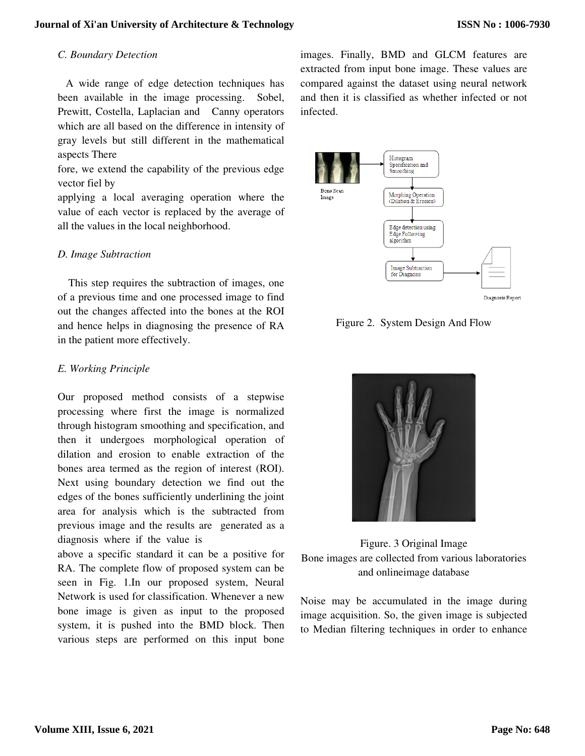#### *C. Boundary Detection*

 A wide range of edge detection techniques has been available in the image processing. Sobel, Prewitt, Costella, Laplacian and Canny operators which are all based on the difference in intensity of gray levels but still different in the mathematical aspects There

fore, we extend the capability of the previous edge vector fiel by

applying a local averaging operation where the value of each vector is replaced by the average of all the values in the local neighborhood.

## *D. Image Subtraction*

 This step requires the subtraction of images, one of a previous time and one processed image to find out the changes affected into the bones at the ROI and hence helps in diagnosing the presence of RA in the patient more effectively.

## *E. Working Principle*

Our proposed method consists of a stepwise processing where first the image is normalized through histogram smoothing and specification, and then it undergoes morphological operation of dilation and erosion to enable extraction of the bones area termed as the region of interest (ROI). Next using boundary detection we find out the edges of the bones sufficiently underlining the joint area for analysis which is the subtracted from previous image and the results are generated as a diagnosis where if the value is

above a specific standard it can be a positive for RA. The complete flow of proposed system can be seen in Fig. 1.In our proposed system, Neural Network is used for classification. Whenever a new bone image is given as input to the proposed system, it is pushed into the BMD block. Then various steps are performed on this input bone

images. Finally, BMD and GLCM features are extracted from input bone image. These values are compared against the dataset using neural network and then it is classified as whether infected or not infected.



Figure 2. System Design And Flow



Figure. 3 Original Image Bone images are collected from various laboratories and onlineimage database

Noise may be accumulated in the image during image acquisition. So, the given image is subjected to Median filtering techniques in order to enhance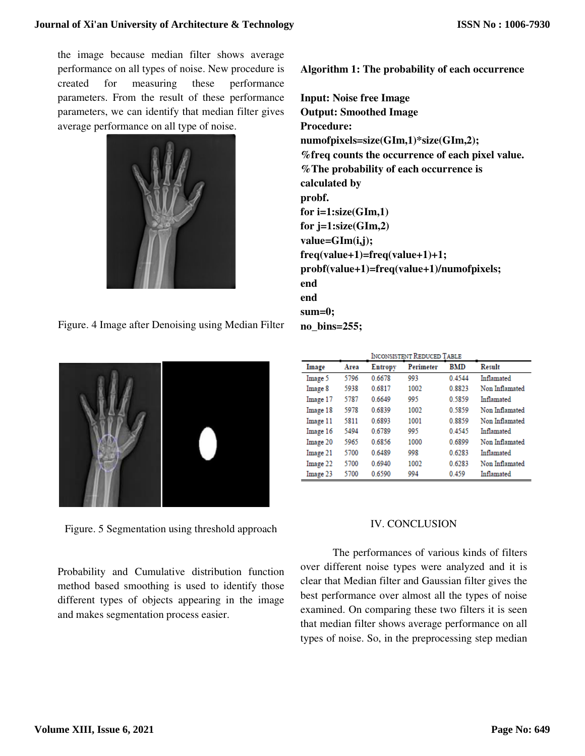the image because median filter shows average performance on all types of noise. New procedure is created for measuring these performance parameters. From the result of these performance parameters, we can identify that median filter gives average performance on all type of noise.



Figure. 4 Image after Denoising using Median Filter



Figure. 5 Segmentation using threshold approach

Probability and Cumulative distribution function method based smoothing is used to identify those different types of objects appearing in the image and makes segmentation process easier.

**Algorithm 1: The probability of each occurrence** 

**Input: Noise free Image Output: Smoothed Image Procedure: numofpixels=size(GIm,1)\*size(GIm,2); %freq counts the occurrence of each pixel value. %The probability of each occurrence is calculated by probf. for i=1:size(GIm,1) for j=1:size(GIm,2) value=GIm(i,j); freq(value+1)=freq(value+1)+1; probf(value+1)=freq(value+1)/numofpixels; end end sum=0; no\_bins=255;**

|          | <b>INCONSISTENT REDUCED TABLE</b> |                |                  |            |                |
|----------|-----------------------------------|----------------|------------------|------------|----------------|
| Image    | Area                              | <b>Entropy</b> | <b>Perimeter</b> | <b>BMD</b> | Result         |
| Image 5  | 5796                              | 0.6678         | 993              | 0.4544     | Inflamated     |
| Image 8  | 5938                              | 0.6817         | 1002             | 0.8823     | Non Inflamated |
| Image 17 | 5787                              | 0.6649         | 995              | 0.5859     | Inflamated     |
| Image 18 | 5978                              | 0.6839         | 1002             | 0 5859     | Non Inflamated |
| Image 11 | 5811                              | 0.6893         | 1001             | 0.8859     | Non Inflamated |
| Image 16 | 5494                              | 0.6789         | 995              | 0.4545     | Inflamated     |
| Image 20 | 5965                              | 0.6856         | 1000             | 0.6899     | Non Inflamated |
| Image 21 | 5700                              | 0.6489         | 998              | 0.6283     | Inflamated     |
| Image 22 | 5700                              | 0.6940         | 1002             | 0.6283     | Non Inflamated |
| Image 23 | 5700                              | 0.6590         | 994              | 0.459      | Inflamated     |

# IV. CONCLUSION

The performances of various kinds of filters over different noise types were analyzed and it is clear that Median filter and Gaussian filter gives the best performance over almost all the types of noise examined. On comparing these two filters it is seen that median filter shows average performance on all types of noise. So, in the preprocessing step median